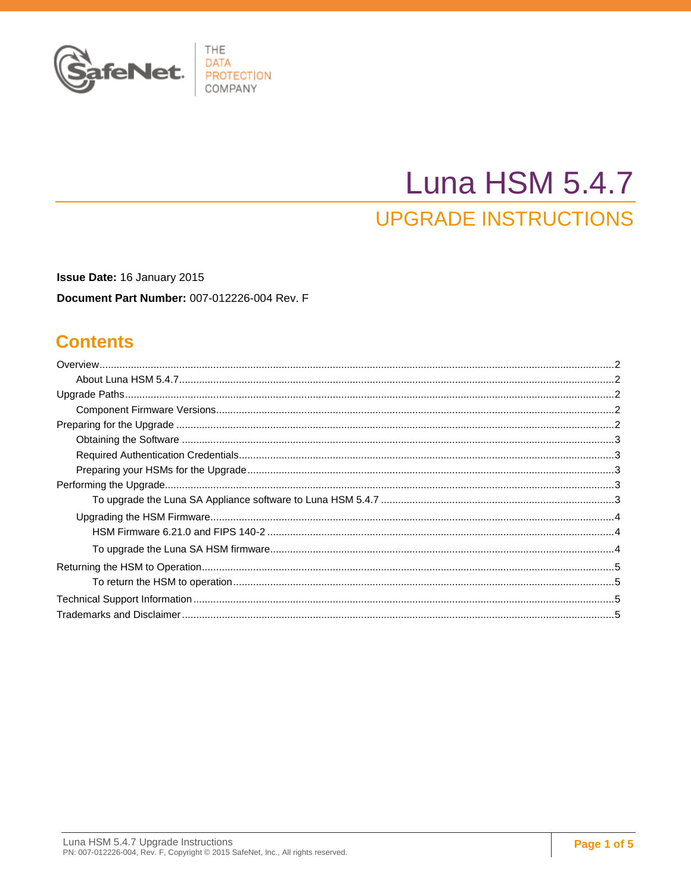

# **Luna HSM 5.4.7**

# **UPGRADE INSTRUCTIONS**

Issue Date: 16 January 2015 Document Part Number: 007-012226-004 Rev. F

### **Contents**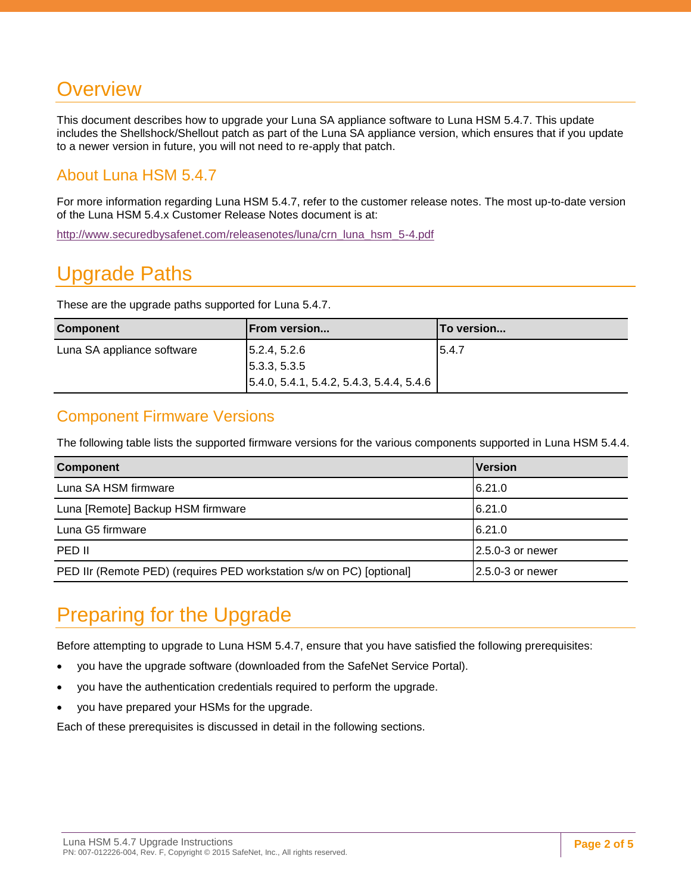# <span id="page-1-0"></span>**Overview**

This document describes how to upgrade your Luna SA appliance software to Luna HSM 5.4.7. This update includes the Shellshock/Shellout patch as part of the Luna SA appliance version, which ensures that if you update to a newer version in future, you will not need to re-apply that patch.

### <span id="page-1-1"></span>About Luna HSM 5.4.7

For more information regarding Luna HSM 5.4.7, refer to the customer release notes. The most up-to-date version of the Luna HSM 5.4.x Customer Release Notes document is at:

[http://www.securedbysafenet.com/releasenotes/luna/crn\\_luna\\_hsm\\_5-4.pdf](http://www.securedbysafenet.com/releasenotes/luna/crn_luna_hsm_5-4.pdf)

# <span id="page-1-2"></span>Upgrade Paths

These are the upgrade paths supported for Luna 5.4.7.

| <b>Component</b>           | <b>From version</b>                              | To version |
|----------------------------|--------------------------------------------------|------------|
| Luna SA appliance software | $\vert 5.2.4, 5.2.6 \vert$                       | 5.4.7      |
|                            | 5.3.3, 5.3.5                                     |            |
|                            | $\vert$ 5.4.0, 5.4.1, 5.4.2, 5.4.3, 5.4.4, 5.4.6 |            |

### <span id="page-1-3"></span>Component Firmware Versions

The following table lists the supported firmware versions for the various components supported in Luna HSM 5.4.4.

| <b>Component</b>                                                     | <u>IVersion</u>   |
|----------------------------------------------------------------------|-------------------|
| Luna SA HSM firmware                                                 | 6.21.0            |
| Luna [Remote] Backup HSM firmware                                    | 6.21.0            |
| Luna G5 firmware                                                     | 6.21.0            |
| PED II                                                               | 2.5.0-3 or newer  |
| PED IIr (Remote PED) (requires PED workstation s/w on PC) [optional] | 12.5.0-3 or newer |

# <span id="page-1-4"></span>Preparing for the Upgrade

Before attempting to upgrade to Luna HSM 5.4.7, ensure that you have satisfied the following prerequisites:

- you have the upgrade software (downloaded from the SafeNet Service Portal).
- you have the authentication credentials required to perform the upgrade.
- you have prepared your HSMs for the upgrade.

Each of these prerequisites is discussed in detail in the following sections.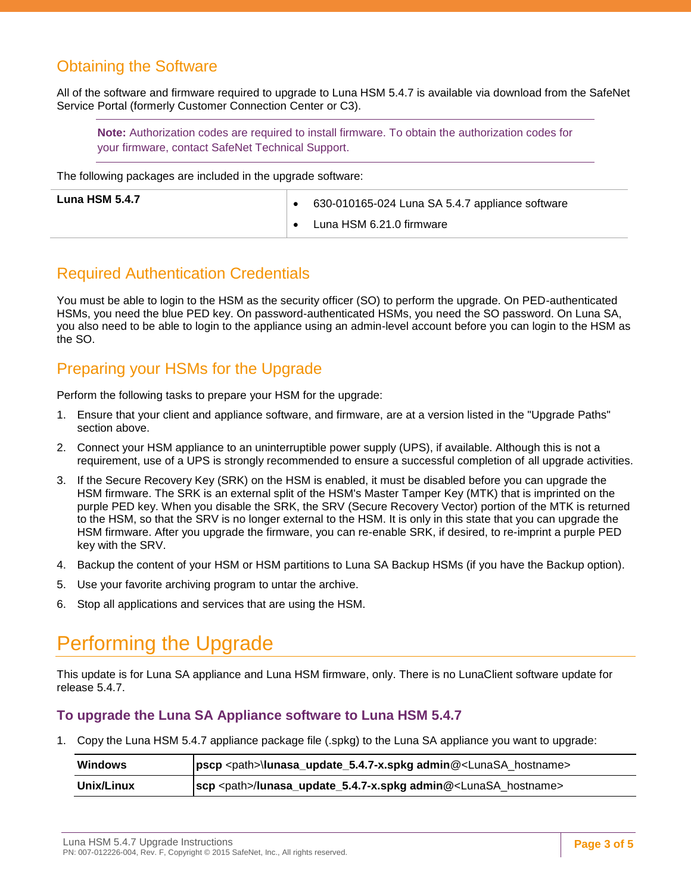### <span id="page-2-0"></span>Obtaining the Software

All of the software and firmware required to upgrade to Luna HSM 5.4.7 is available via download from the SafeNet Service Portal (formerly Customer Connection Center or C3).

**Note:** Authorization codes are required to install firmware. To obtain the authorization codes for your firmware, contact SafeNet Technical Support.

The following packages are included in the upgrade software:

| <b>Luna HSM 5.4.7</b> | 630-010165-024 Luna SA 5.4.7 appliance software |
|-----------------------|-------------------------------------------------|
|                       | Luna HSM 6.21.0 firmware                        |

### <span id="page-2-1"></span>Required Authentication Credentials

You must be able to login to the HSM as the security officer (SO) to perform the upgrade. On PED-authenticated HSMs, you need the blue PED key. On password-authenticated HSMs, you need the SO password. On Luna SA, you also need to be able to login to the appliance using an admin-level account before you can login to the HSM as the SO.

### <span id="page-2-2"></span>Preparing your HSMs for the Upgrade

Perform the following tasks to prepare your HSM for the upgrade:

- 1. Ensure that your client and appliance software, and firmware, are at a version listed in the "Upgrade Paths" section above.
- 2. Connect your HSM appliance to an uninterruptible power supply (UPS), if available. Although this is not a requirement, use of a UPS is strongly recommended to ensure a successful completion of all upgrade activities.
- 3. If the Secure Recovery Key (SRK) on the HSM is enabled, it must be disabled before you can upgrade the HSM firmware. The SRK is an external split of the HSM's Master Tamper Key (MTK) that is imprinted on the purple PED key. When you disable the SRK, the SRV (Secure Recovery Vector) portion of the MTK is returned to the HSM, so that the SRV is no longer external to the HSM. It is only in this state that you can upgrade the HSM firmware. After you upgrade the firmware, you can re-enable SRK, if desired, to re-imprint a purple PED key with the SRV.
- 4. Backup the content of your HSM or HSM partitions to Luna SA Backup HSMs (if you have the Backup option).
- 5. Use your favorite archiving program to untar the archive.
- 6. Stop all applications and services that are using the HSM.

# <span id="page-2-3"></span>Performing the Upgrade

This update is for Luna SA appliance and Luna HSM firmware, only. There is no LunaClient software update for release 5.4.7.

#### <span id="page-2-4"></span>**To upgrade the Luna SA Appliance software to Luna HSM 5.4.7**

1. Copy the Luna HSM 5.4.7 appliance package file (.spkg) to the Luna SA appliance you want to upgrade:

| <b>Windows</b> | pscp <path>\lunasa_update_5.4.7-x.spkg admin@<lunasa_hostname></lunasa_hostname></path> |  |
|----------------|-----------------------------------------------------------------------------------------|--|
| Unix/Linux     | scp <path>/lunasa_update_5.4.7-x.spkg admin@<lunasa_hostname></lunasa_hostname></path>  |  |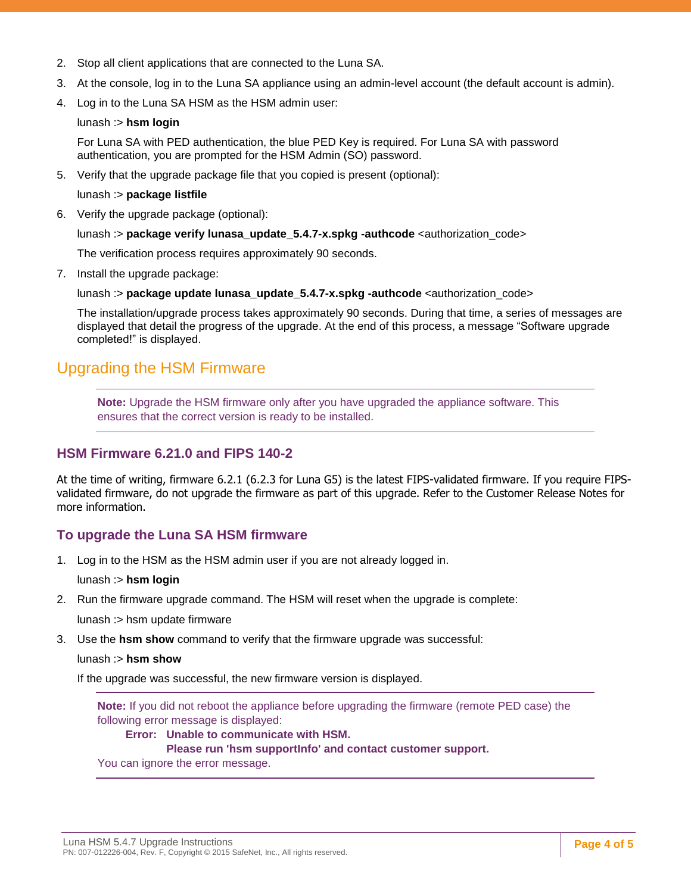- 2. Stop all client applications that are connected to the Luna SA.
- 3. At the console, log in to the Luna SA appliance using an admin-level account (the default account is admin).
- 4. Log in to the Luna SA HSM as the HSM admin user:

#### lunash :> **hsm login**

For Luna SA with PED authentication, the blue PED Key is required. For Luna SA with password authentication, you are prompted for the HSM Admin (SO) password.

5. Verify that the upgrade package file that you copied is present (optional):

#### lunash :> **package listfile**

6. Verify the upgrade package (optional):

#### lunash :> **package verify lunasa update 5.4.7-x.spkg -authcode** <authorization code>

The verification process requires approximately 90 seconds.

7. Install the upgrade package:

lunash :> **package update lunasa\_update\_5.4.7-x.spkg -authcode** <authorization\_code>

The installation/upgrade process takes approximately 90 seconds. During that time, a series of messages are displayed that detail the progress of the upgrade. At the end of this process, a message "Software upgrade completed!" is displayed.

### <span id="page-3-0"></span>Upgrading the HSM Firmware

**Note:** Upgrade the HSM firmware only after you have upgraded the appliance software. This ensures that the correct version is ready to be installed.

#### <span id="page-3-1"></span>**HSM Firmware 6.21.0 and FIPS 140-2**

At the time of writing, firmware 6.2.1 (6.2.3 for Luna G5) is the latest FIPS-validated firmware. If you require FIPSvalidated firmware, do not upgrade the firmware as part of this upgrade. Refer to the Customer Release Notes for more information.

#### <span id="page-3-2"></span>**To upgrade the Luna SA HSM firmware**

1. Log in to the HSM as the HSM admin user if you are not already logged in.

lunash :> **hsm login**

2. Run the firmware upgrade command. The HSM will reset when the upgrade is complete:

lunash :> hsm update firmware

3. Use the **hsm show** command to verify that the firmware upgrade was successful:

#### lunash :> **hsm show**

If the upgrade was successful, the new firmware version is displayed.

**Note:** If you did not reboot the appliance before upgrading the firmware (remote PED case) the following error message is displayed:

#### **Error: Unable to communicate with HSM.**

#### **Please run 'hsm supportInfo' and contact customer support.**

You can ignore the error message.